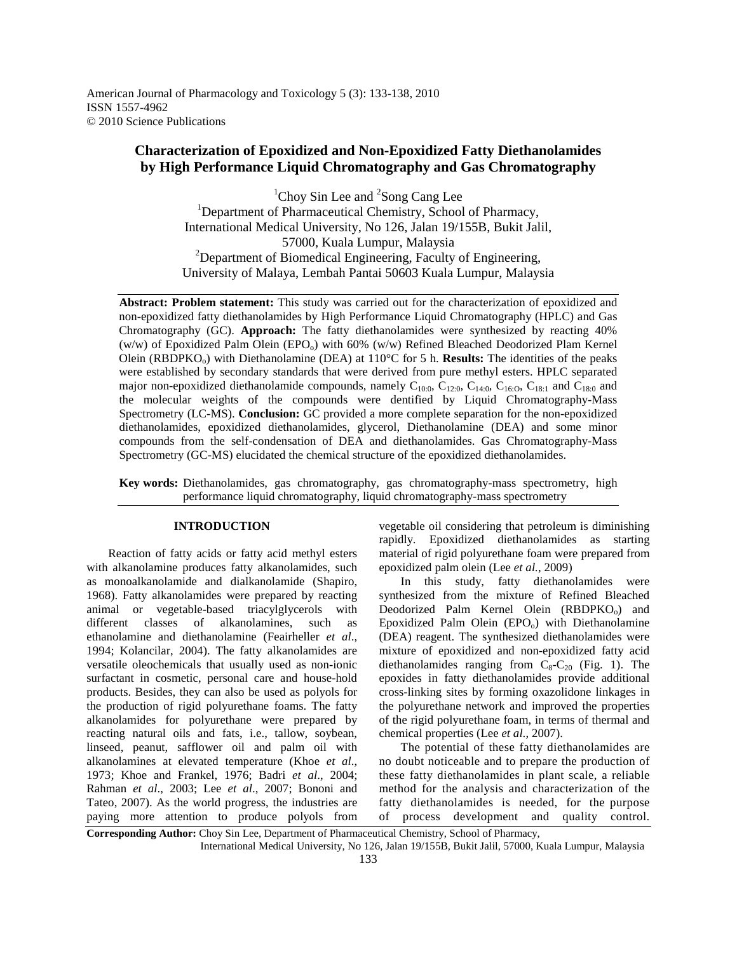American Journal of Pharmacology and Toxicology 5 (3): 133-138, 2010 ISSN 1557-4962 © 2010 Science Publications

# **Characterization of Epoxidized and Non-Epoxidized Fatty Diethanolamides by High Performance Liquid Chromatography and Gas Chromatography**

<sup>1</sup>Choy Sin Lee and <sup>2</sup>Song Cang Lee <sup>1</sup>Department of Pharmaceutical Chemistry, School of Pharmacy, International Medical University, No 126, Jalan 19/155B, Bukit Jalil, 57000, Kuala Lumpur, Malaysia  $2$ Department of Biomedical Engineering, Faculty of Engineering, University of Malaya, Lembah Pantai 50603 Kuala Lumpur, Malaysia

**Abstract: Problem statement:** This study was carried out for the characterization of epoxidized and non-epoxidized fatty diethanolamides by High Performance Liquid Chromatography (HPLC) and Gas Chromatography (GC). **Approach:** The fatty diethanolamides were synthesized by reacting 40% (w/w) of Epoxidized Palm Olein (EPO<sub>0</sub>) with 60% (w/w) Refined Bleached Deodorized Plam Kernel Olein (RBDPKO<sub>o</sub>) with Diethanolamine (DEA) at  $110^{\circ}$ C for 5 h. **Results:** The identities of the peaks were established by secondary standards that were derived from pure methyl esters. HPLC separated major non-epoxidized diethanolamide compounds, namely  $C_{10:0}$ ,  $C_{12:0}$ ,  $C_{14:0}$ ,  $C_{16:0}$ ,  $C_{18:1}$  and  $C_{18:0}$  and the molecular weights of the compounds were dentified by Liquid Chromatography-Mass Spectrometry (LC-MS). **Conclusion:** GC provided a more complete separation for the non-epoxidized diethanolamides, epoxidized diethanolamides, glycerol, Diethanolamine (DEA) and some minor compounds from the self-condensation of DEA and diethanolamides. Gas Chromatography-Mass Spectrometry (GC-MS) elucidated the chemical structure of the epoxidized diethanolamides.

**Key words:** Diethanolamides, gas chromatography, gas chromatography-mass spectrometry, high performance liquid chromatography, liquid chromatography-mass spectrometry

### **INTRODUCTION**

 Reaction of fatty acids or fatty acid methyl esters with alkanolamine produces fatty alkanolamides, such as monoalkanolamide and dialkanolamide (Shapiro, 1968). Fatty alkanolamides were prepared by reacting animal or vegetable-based triacylglycerols with different classes of alkanolamines, such as ethanolamine and diethanolamine (Feairheller *et al*., 1994; Kolancilar, 2004). The fatty alkanolamides are versatile oleochemicals that usually used as non-ionic surfactant in cosmetic, personal care and house-hold products. Besides, they can also be used as polyols for the production of rigid polyurethane foams. The fatty alkanolamides for polyurethane were prepared by reacting natural oils and fats, i.e., tallow, soybean, linseed, peanut, safflower oil and palm oil with alkanolamines at elevated temperature (Khoe *et al*., 1973; Khoe and Frankel, 1976; Badri *et al*., 2004; Rahman *et al*., 2003; Lee *et al*., 2007; Bononi and Tateo, 2007). As the world progress, the industries are paying more attention to produce polyols from vegetable oil considering that petroleum is diminishing rapidly. Epoxidized diethanolamides as starting material of rigid polyurethane foam were prepared from epoxidized palm olein (Lee *et al.*, 2009)

 In this study, fatty diethanolamides were synthesized from the mixture of Refined Bleached Deodorized Palm Kernel Olein (RBDPKO<sub>o</sub>) and Epoxidized Palm Olein  $(EPO<sub>o</sub>)$  with Diethanolamine (DEA) reagent. The synthesized diethanolamides were mixture of epoxidized and non-epoxidized fatty acid diethanolamides ranging from  $C_8-C_{20}$  (Fig. 1). The epoxides in fatty diethanolamides provide additional cross-linking sites by forming oxazolidone linkages in the polyurethane network and improved the properties of the rigid polyurethane foam, in terms of thermal and chemical properties (Lee *et al*., 2007).

 The potential of these fatty diethanolamides are no doubt noticeable and to prepare the production of these fatty diethanolamides in plant scale, a reliable method for the analysis and characterization of the fatty diethanolamides is needed, for the purpose of process development and quality control.

International Medical University, No 126, Jalan 19/155B, Bukit Jalil, 57000, Kuala Lumpur, Malaysia

**Corresponding Author:** Choy Sin Lee, Department of Pharmaceutical Chemistry, School of Pharmacy,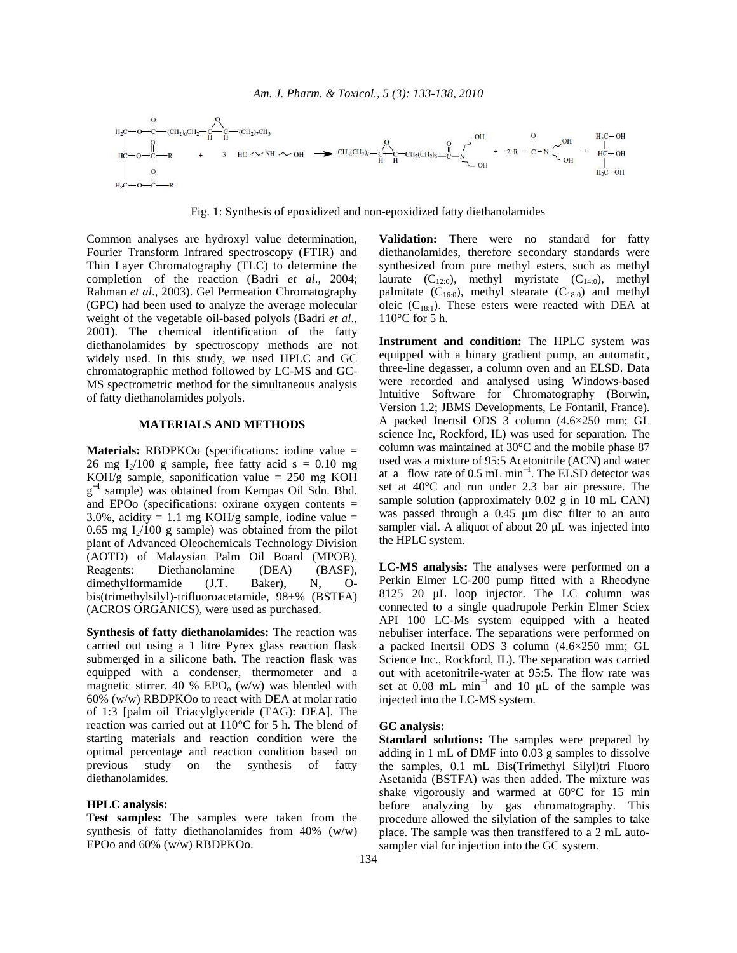

Fig. 1: Synthesis of epoxidized and non-epoxidized fatty diethanolamides

Common analyses are hydroxyl value determination, Fourier Transform Infrared spectroscopy (FTIR) and Thin Layer Chromatography (TLC) to determine the completion of the reaction (Badri *et al*., 2004; Rahman *et al*., 2003). Gel Permeation Chromatography (GPC) had been used to analyze the average molecular weight of the vegetable oil-based polyols (Badri *et al*., 2001). The chemical identification of the fatty diethanolamides by spectroscopy methods are not widely used. In this study, we used HPLC and GC chromatographic method followed by LC-MS and GC-MS spectrometric method for the simultaneous analysis of fatty diethanolamides polyols.

# **MATERIALS AND METHODS**

**Materials:** RBDPKOo (specifications: iodine value = 26 mg I<sub>2</sub>/100 g sample, free fatty acid s =  $0.10$  mg KOH/g sample, saponification value  $= 250$  mg KOH g<sup>-1</sup> sample) was obtained from Kempas Oil Sdn. Bhd. and EPOo (specifications: oxirane oxygen contents = 3.0%, acidity = 1.1 mg KOH/g sample, iodine value = 0.65 mg  $I_2/100$  g sample) was obtained from the pilot plant of Advanced Oleochemicals Technology Division (AOTD) of Malaysian Palm Oil Board (MPOB). Reagents: Diethanolamine (DEA) (BASF), dimethylformamide (J.T. Baker), N, Obis(trimethylsilyl)-trifluoroacetamide, 98+% (BSTFA) (ACROS ORGANICS), were used as purchased.

**Synthesis of fatty diethanolamides:** The reaction was carried out using a 1 litre Pyrex glass reaction flask submerged in a silicone bath. The reaction flask was equipped with a condenser, thermometer and a magnetic stirrer. 40 % EPO<sub>0</sub> (w/w) was blended with 60% (w/w) RBDPKOo to react with DEA at molar ratio of 1:3 [palm oil Triacylglyceride (TAG): DEA]. The reaction was carried out at 110°C for 5 h. The blend of starting materials and reaction condition were the optimal percentage and reaction condition based on previous study on the synthesis of fatty diethanolamides.

# **HPLC analysis:**

**Test samples:** The samples were taken from the synthesis of fatty diethanolamides from 40% (w/w) EPOo and 60% (w/w) RBDPKOo.

**Validation:** There were no standard for fatty diethanolamides, therefore secondary standards were synthesized from pure methyl esters, such as methyl laurate  $(C_{12:0})$ , methyl myristate  $(C_{14:0})$ , methyl palmitate  $(C_{16:0})$ , methyl stearate  $(C_{18:0})$  and methyl oleic  $(C_{18:1})$ . These esters were reacted with DEA at 110°C for 5 h.

**Instrument and condition:** The HPLC system was equipped with a binary gradient pump, an automatic, three-line degasser, a column oven and an ELSD. Data were recorded and analysed using Windows-based Intuitive Software for Chromatography (Borwin, Version 1.2; JBMS Developments, Le Fontanil, France). A packed Inertsil ODS 3 column (4.6×250 mm; GL science Inc, Rockford, IL) was used for separation. The column was maintained at 30°C and the mobile phase 87 used was a mixture of 95:5 Acetonitrile (ACN) and water at a flow rate of  $0.5$  mL min<sup>-1</sup>. The ELSD detector was set at 40°C and run under 2.3 bar air pressure. The sample solution (approximately 0.02 g in 10 mL CAN) was passed through a 0.45 µm disc filter to an auto sampler vial. A aliquot of about 20 µL was injected into the HPLC system.

**LC-MS analysis:** The analyses were performed on a Perkin Elmer LC-200 pump fitted with a Rheodyne 8125 20 µL loop injector. The LC column was connected to a single quadrupole Perkin Elmer Sciex API 100 LC-Ms system equipped with a heated nebuliser interface. The separations were performed on a packed Inertsil ODS 3 column (4.6×250 mm; GL Science Inc., Rockford, IL). The separation was carried out with acetonitrile-water at 95:5. The flow rate was set at 0.08 mL min<sup>-1</sup> and 10 µL of the sample was injected into the LC-MS system.

# **GC analysis:**

**Standard solutions:** The samples were prepared by adding in 1 mL of DMF into 0.03 g samples to dissolve the samples, 0.1 mL Bis(Trimethyl Silyl)tri Fluoro Asetanida (BSTFA) was then added. The mixture was shake vigorously and warmed at 60°C for 15 min before analyzing by gas chromatography. This procedure allowed the silylation of the samples to take place. The sample was then transffered to a 2 mL autosampler vial for injection into the GC system.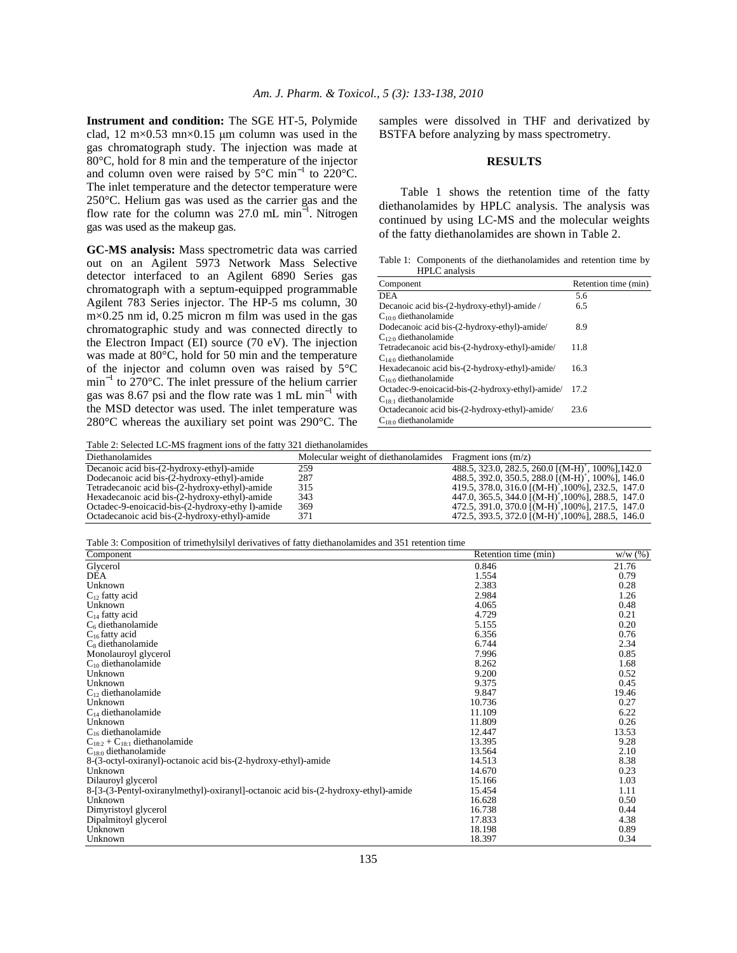**Instrument and condition:** The SGE HT-5, Polymide clad, 12 m $\times$ 0.53 mn $\times$ 0.15 µm column was used in the gas chromatograph study. The injection was made at 80°C, hold for 8 min and the temperature of the injector and column oven were raised by  $5^{\circ}$ C min<sup>-1</sup> to 220°C. The inlet temperature and the detector temperature were 250°C. Helium gas was used as the carrier gas and the flow rate for the column was 27.0 mL min<sup>-1</sup>. Nitrogen gas was used as the makeup gas.

**GC-MS analysis:** Mass spectrometric data was carried out on an Agilent 5973 Network Mass Selective detector interfaced to an Agilent 6890 Series gas chromatograph with a septum-equipped programmable Agilent 783 Series injector. The HP-5 ms column, 30 m×0.25 nm id, 0.25 micron m film was used in the gas chromatographic study and was connected directly to the Electron Impact (EI) source (70 eV). The injection was made at 80°C, hold for 50 min and the temperature of the injector and column oven was raised by 5°C min<sup>-1</sup> to 270°C. The inlet pressure of the helium carrier gas was 8.67 psi and the flow rate was 1 mL min<sup>-1</sup> with the MSD detector was used. The inlet temperature was 280°C whereas the auxiliary set point was 290°C. The

samples were dissolved in THF and derivatized by BSTFA before analyzing by mass spectrometry.

#### **RESULTS**

 Table 1 shows the retention time of the fatty diethanolamides by HPLC analysis. The analysis was continued by using LC-MS and the molecular weights of the fatty diethanolamides are shown in Table 2.

Table 1: Components of the diethanolamides and retention time by HPLC analysis

| Component                                        | Retention time (min) |
|--------------------------------------------------|----------------------|
| <b>DEA</b>                                       | 5.6                  |
| Decanoic acid bis-(2-hydroxy-ethyl)-amide/       | 6.5                  |
| $C_{10:0}$ diethanolamide                        |                      |
| Dodecanoic acid bis-(2-hydroxy-ethyl)-amide/     | 8.9                  |
| $C_{12:0}$ diethanolamide                        |                      |
| Tetradecanoic acid bis-(2-hydroxy-ethyl)-amide/  | 11.8                 |
| $C_{14:0}$ diethanolamide                        |                      |
| Hexadecanoic acid bis-(2-hydroxy-ethyl)-amide/   | 16.3                 |
| $C_{16:0}$ diethanolamide                        |                      |
| Octadec-9-enoicacid-bis-(2-hydroxy-ethyl)-amide/ | 17.2                 |
| $C_{18+1}$ diethanolamide                        |                      |
| Octadecanoic acid bis-(2-hydroxy-ethyl)-amide/   | 23.6                 |
| $C_{18:0}$ diethanolamide                        |                      |
|                                                  |                      |

Table 2: Selected LC-MS fragment ions of the fatty 321 diethanolamides

| Table 2. Beneficial LC 1419 Haghletti Tons of the fail ( 221 dictionmonal fields |                                     |                                                               |  |
|----------------------------------------------------------------------------------|-------------------------------------|---------------------------------------------------------------|--|
| Diethanolamides                                                                  | Molecular weight of diethanolamides | Fragment ions $(m/z)$                                         |  |
| Decanoic acid bis-(2-hydroxy-ethyl)-amide                                        | 259                                 | 488.5, 323.0, 282.5, 260.0 [(M-H) <sup>+</sup> , 100%], 142.0 |  |
| Dodecanoic acid bis-(2-hydroxy-ethyl)-amide                                      | 287                                 | 488.5, 392.0, 350.5, 288.0 [(M-H) <sup>+</sup> , 100%], 146.0 |  |
| Tetradecanoic acid bis-(2-hydroxy-ethyl)-amide                                   | 315                                 | 419.5, 378.0, 316.0 $[(M-H)^+, 100\%]$ , 232.5, 147.0         |  |
| Hexadecanoic acid bis-(2-hydroxy-ethyl)-amide                                    | 343                                 | 447.0, 365.5, 344.0 $[(M-H)^+, 100\%]$ , 288.5, 147.0         |  |
| Octadec-9-enoicacid-bis-(2-hydroxy-ethy 1)-amide                                 | 369                                 | 472.5, 391.0, 370.0 $[(M-H)^+, 100\%]$ , 217.5, 147.0         |  |
| Octadecanoic acid bis-(2-hydroxy-ethyl)-amide                                    | 371                                 | 472.5, 393.5, 372.0 $[(M-H)^+, 100\%]$ , 288.5, 146.0         |  |

Table 3: Composition of trimethylsilyl derivatives of fatty diethanolamides and 351 retention time

| л.<br>Component                                                                    | Retention time (min) | W/W(%) |
|------------------------------------------------------------------------------------|----------------------|--------|
| Glycerol                                                                           | 0.846                | 21.76  |
| <b>DEA</b>                                                                         | 1.554                | 0.79   |
| Unknown                                                                            | 2.383                | 0.28   |
| $C_{12}$ fatty acid                                                                | 2.984                | 1.26   |
| Unknown                                                                            | 4.065                | 0.48   |
| $C_{14}$ fatty acid                                                                | 4.729                | 0.21   |
| $C_6$ diethanolamide                                                               | 5.155                | 0.20   |
| $C_{16}$ fatty acid                                                                | 6.356                | 0.76   |
| $C_8$ diethanolamide                                                               | 6.744                | 2.34   |
| Monolauroyl glycerol                                                               | 7.996                | 0.85   |
| $C_{10}$ diethanolamide                                                            | 8.262                | 1.68   |
| Unknown                                                                            | 9.200                | 0.52   |
| Unknown                                                                            | 9.375                | 0.45   |
| $C_{12}$ diethanolamide                                                            | 9.847                | 19.46  |
| Unknown                                                                            | 10.736               | 0.27   |
| $C_{14}$ diethanolamide                                                            | 11.109               | 6.22   |
| Unknown                                                                            | 11.809               | 0.26   |
| $C_{16}$ diethanolamide                                                            | 12.447               | 13.53  |
| $C_{18:2} + C_{18:1}$ diethanolamide                                               | 13.395               | 9.28   |
| $C_{18:0}$ diethanolamide                                                          | 13.564               | 2.10   |
| 8-(3-octyl-oxiranyl)-octanoic acid bis-(2-hydroxy-ethyl)-amide                     | 14.513               | 8.38   |
| Unknown                                                                            | 14.670               | 0.23   |
| Dilauroyl glycerol                                                                 | 15.166               | 1.03   |
| 8-[3-(3-Pentyl-oxiranylmethyl)-oxiranyl]-octanoic acid bis-(2-hydroxy-ethyl)-amide | 15.454               | 1.11   |
| Unknown                                                                            | 16.628               | 0.50   |
| Dimyristoyl glycerol                                                               | 16.738               | 0.44   |
| Dipalmitoyl glycerol                                                               | 17.833               | 4.38   |
| Unknown                                                                            | 18.198               | 0.89   |
| Unknown                                                                            | 18.397               | 0.34   |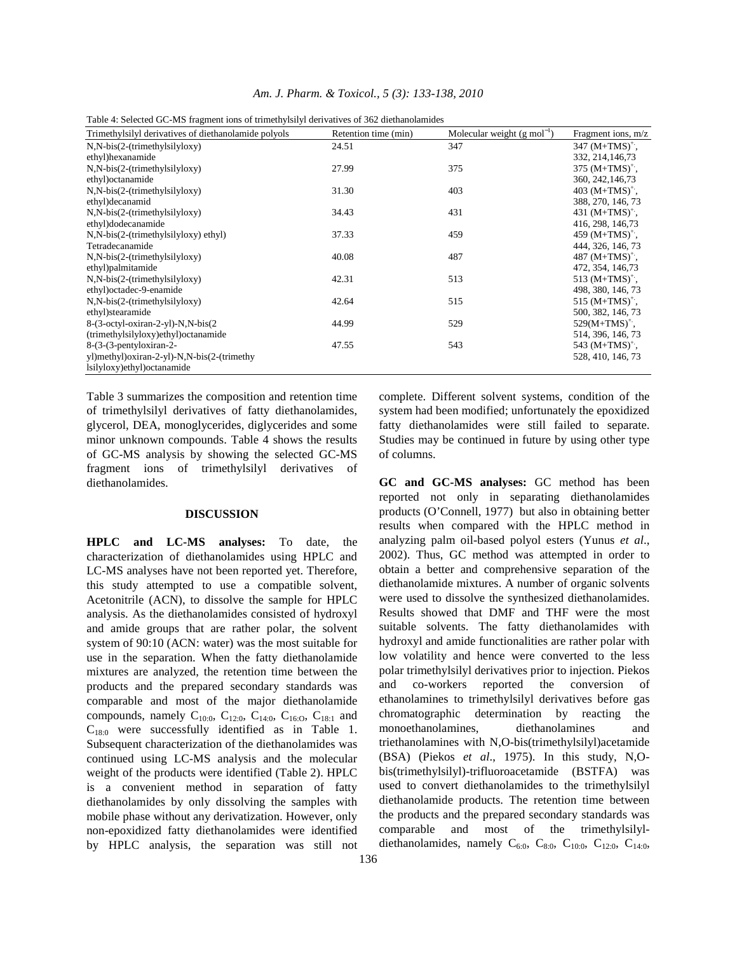|                                                      | Table +. Detected OC THD Haghlent Tons of trinitentylish of activatives of 502 dictinariolalinges |                                         |                      |  |  |  |
|------------------------------------------------------|---------------------------------------------------------------------------------------------------|-----------------------------------------|----------------------|--|--|--|
| Trimethylsilyl derivatives of diethanolamide polyols | Retention time (min)                                                                              | Molecular weight $(g \text{ mol}^{-1})$ | Fragment ions, $m/z$ |  |  |  |
| $N, N-bis(2-(trimethylsilyloxy))$                    | 24.51                                                                                             | 347                                     | $347 \, (M+TMS)^+$ . |  |  |  |
| ethyl)hexanamide                                     |                                                                                                   |                                         | 332, 214, 146, 73    |  |  |  |
| $N, N-bis(2-(trimethylsilyloxy))$                    | 27.99                                                                                             | 375                                     | $375 \, (M+TMS)^+$ , |  |  |  |
| ethyl) octanamide                                    |                                                                                                   |                                         | 360, 242, 146, 73    |  |  |  |
| $N, N-bis(2-(trimethylsilyloxy))$                    | 31.30                                                                                             | 403                                     | 403 $(M+TMS)^+$ .    |  |  |  |
| ethyl)decanamid                                      |                                                                                                   |                                         | 388, 270, 146, 73    |  |  |  |
| $N, N-bis(2-(trimethylsilyloxy))$                    | 34.43                                                                                             | 431                                     | 431 $(M+TMS)^+$ .    |  |  |  |
| ethyl)dodecanamide                                   |                                                                                                   |                                         | 416, 298, 146, 73    |  |  |  |
| $N, N-bis(2-(trimethylsilyloxy) ethyl)$              | 37.33                                                                                             | 459                                     | 459 $(M+TMS)^+$ .    |  |  |  |
| Tetradecanamide                                      |                                                                                                   |                                         | 444, 326, 146, 73    |  |  |  |
| $N.N-bis(2-(trimethylsilyloxy))$                     | 40.08                                                                                             | 487                                     | 487 $(M+TMS)^+$ .    |  |  |  |
| ethyl)palmitamide                                    |                                                                                                   |                                         | 472, 354, 146, 73    |  |  |  |
| $N.N-bis(2-(trimethylsilyloxy))$                     | 42.31                                                                                             | 513                                     | 513 $(M+TMS)^+$ .    |  |  |  |
| ethyl) octadec-9-enamide                             |                                                                                                   |                                         | 498, 380, 146, 73    |  |  |  |
| $N.N-bis(2-(trimethylsilyloxy))$                     | 42.64                                                                                             | 515                                     | 515 $(M+TMS)^+$ .    |  |  |  |
| ethyl)stearamide                                     |                                                                                                   |                                         | 500, 382, 146, 73    |  |  |  |
| 8-(3-octyl-oxiran-2-yl)-N,N-bis(2                    | 44.99                                                                                             | 529                                     | $529(M+TMS)^{+}$ .   |  |  |  |
| (trimethylsilyloxy)ethyl) octanamide                 |                                                                                                   |                                         | 514, 396, 146, 73    |  |  |  |
| $8-(3-9$ -entyloxiran-2-                             | 47.55                                                                                             | 543                                     | 543 $(M+TMS)^+$ .    |  |  |  |
| yl)methyl)oxiran-2-yl)-N,N-bis(2-(trimethy           |                                                                                                   |                                         | 528, 410, 146, 73    |  |  |  |
| lsilyloxy)ethyl)octanamide                           |                                                                                                   |                                         |                      |  |  |  |

|  |  | Table 4: Selected GC-MS fragment ions of trimethylsilyl derivatives of 362 diethanolamides |  |
|--|--|--------------------------------------------------------------------------------------------|--|
|--|--|--------------------------------------------------------------------------------------------|--|

Table 3 summarizes the composition and retention time of trimethylsilyl derivatives of fatty diethanolamides, glycerol, DEA, monoglycerides, diglycerides and some minor unknown compounds. Table 4 shows the results of GC-MS analysis by showing the selected GC-MS fragment ions of trimethylsilyl derivatives of diethanolamides.

## **DISCUSSION**

**HPLC and LC-MS analyses:** To date, the characterization of diethanolamides using HPLC and LC-MS analyses have not been reported yet. Therefore, this study attempted to use a compatible solvent, Acetonitrile (ACN), to dissolve the sample for HPLC analysis. As the diethanolamides consisted of hydroxyl and amide groups that are rather polar, the solvent system of 90:10 (ACN: water) was the most suitable for use in the separation. When the fatty diethanolamide mixtures are analyzed, the retention time between the products and the prepared secondary standards was comparable and most of the major diethanolamide compounds, namely C<sub>10:0</sub>, C<sub>12:0</sub>, C<sub>14:0</sub>, C<sub>16:0</sub>, C<sub>18:1</sub> and  $C_{18:0}$  were successfully identified as in Table 1. Subsequent characterization of the diethanolamides was continued using LC-MS analysis and the molecular weight of the products were identified (Table 2). HPLC is a convenient method in separation of fatty diethanolamides by only dissolving the samples with mobile phase without any derivatization. However, only non-epoxidized fatty diethanolamides were identified by HPLC analysis, the separation was still not system had been modified; unfortunately the epoxidized fatty diethanolamides were still failed to separate. Studies may be continued in future by using other type of columns.

complete. Different solvent systems, condition of the

**GC and GC-MS analyses:** GC method has been reported not only in separating diethanolamides products (O'Connell, 1977) but also in obtaining better results when compared with the HPLC method in analyzing palm oil-based polyol esters (Yunus *et al*., 2002). Thus, GC method was attempted in order to obtain a better and comprehensive separation of the diethanolamide mixtures. A number of organic solvents were used to dissolve the synthesized diethanolamides. Results showed that DMF and THF were the most suitable solvents. The fatty diethanolamides with hydroxyl and amide functionalities are rather polar with low volatility and hence were converted to the less polar trimethylsilyl derivatives prior to injection. Piekos and co-workers reported the conversion of ethanolamines to trimethylsilyl derivatives before gas chromatographic determination by reacting the monoethanolamines, diethanolamines and triethanolamines with N,O-bis(trimethylsilyl)acetamide (BSA) (Piekos *et al*., 1975). In this study, N,Obis(trimethylsilyl)-trifluoroacetamide (BSTFA) was used to convert diethanolamides to the trimethylsilyl diethanolamide products. The retention time between the products and the prepared secondary standards was comparable and most of the trimethylsilyldiethanolamides, namely  $C_{6:0}$ ,  $C_{8:0}$ ,  $C_{10:0}$ ,  $C_{12:0}$ ,  $C_{14:0}$ ,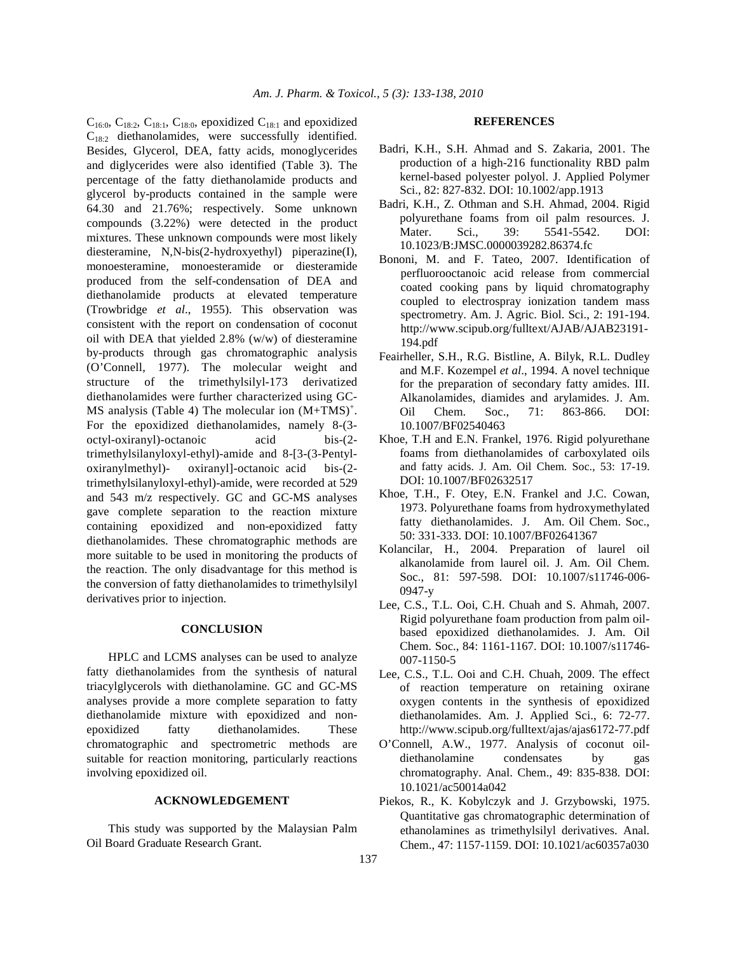$C_{16:0}$ ,  $C_{18:2}$ ,  $C_{18:1}$ ,  $C_{18:0}$ , epoxidized  $C_{18:1}$  and epoxidized C18:2 diethanolamides, were successfully identified. Besides, Glycerol, DEA, fatty acids, monoglycerides and diglycerides were also identified (Table 3). The percentage of the fatty diethanolamide products and glycerol by-products contained in the sample were 64.30 and 21.76%; respectively. Some unknown compounds (3.22%) were detected in the product mixtures. These unknown compounds were most likely diesteramine, N,N-bis(2-hydroxyethyl) piperazine(I), monoesteramine, monoesteramide or diesteramide produced from the self-condensation of DEA and diethanolamide products at elevated temperature (Trowbridge *et al*., 1955). This observation was consistent with the report on condensation of coconut oil with DEA that yielded 2.8% (w/w) of diesteramine by-products through gas chromatographic analysis (O'Connell, 1977). The molecular weight and structure of the trimethylsilyl-173 derivatized diethanolamides were further characterized using GC-MS analysis (Table 4) The molecular ion  $(M+TMS)^+$ . For the epoxidized diethanolamides, namely 8-(3 octyl-oxiranyl)-octanoic acid bis-(2 trimethylsilanyloxyl-ethyl)-amide and 8-[3-(3-Pentyloxiranylmethyl)- oxiranyl]-octanoic acid bis-(2 trimethylsilanyloxyl-ethyl)-amide, were recorded at 529 and 543 m/z respectively. GC and GC-MS analyses gave complete separation to the reaction mixture containing epoxidized and non-epoxidized fatty diethanolamides. These chromatographic methods are more suitable to be used in monitoring the products of the reaction. The only disadvantage for this method is the conversion of fatty diethanolamides to trimethylsilyl derivatives prior to injection.

# **CONCLUSION**

 HPLC and LCMS analyses can be used to analyze fatty diethanolamides from the synthesis of natural triacylglycerols with diethanolamine. GC and GC-MS analyses provide a more complete separation to fatty diethanolamide mixture with epoxidized and nonepoxidized fatty diethanolamides. These chromatographic and spectrometric methods are suitable for reaction monitoring, particularly reactions involving epoxidized oil.

# **ACKNOWLEDGEMENT**

 This study was supported by the Malaysian Palm Oil Board Graduate Research Grant.

#### **REFERENCES**

- Badri, K.H., S.H. Ahmad and S. Zakaria, 2001. The production of a high-216 functionality RBD palm kernel-based polyester polyol. J. Applied Polymer Sci., 82: 827-832. DOI: 10.1002/app.1913
- Badri, K.H., Z. Othman and S.H. Ahmad, 2004. Rigid polyurethane foams from oil palm resources. J. Mater. Sci., 39: 5541-5542. DOI: 10.1023/B:JMSC.0000039282.86374.fc
- Bononi, M. and F. Tateo, 2007. Identification of perfluorooctanoic acid release from commercial coated cooking pans by liquid chromatography coupled to electrospray ionization tandem mass spectrometry. Am. J. Agric. Biol. Sci., 2: 191-194. http://www.scipub.org/fulltext/AJAB/AJAB23191- 194.pdf
- Feairheller, S.H., R.G. Bistline, A. Bilyk, R.L. Dudley and M.F. Kozempel *et al*., 1994. A novel technique for the preparation of secondary fatty amides. III. Alkanolamides, diamides and arylamides. J. Am. Oil Chem. Soc., 71: 863-866. DOI: 10.1007/BF02540463
- Khoe, T.H and E.N. Frankel, 1976. Rigid polyurethane foams from diethanolamides of carboxylated oils and fatty acids. J. Am. Oil Chem. Soc., 53: 17-19. DOI: 10.1007/BF02632517
- Khoe, T.H., F. Otey, E.N. Frankel and J.C. Cowan, 1973. Polyurethane foams from hydroxymethylated fatty diethanolamides. J. Am. Oil Chem. Soc., 50: 331-333. DOI: 10.1007/BF02641367
- Kolancilar, H., 2004. Preparation of laurel oil alkanolamide from laurel oil. J. Am. Oil Chem. Soc., 81: 597-598. DOI: 10.1007/s11746-006- 0947-y
- Lee, C.S., T.L. Ooi, C.H. Chuah and S. Ahmah, 2007. Rigid polyurethane foam production from palm oilbased epoxidized diethanolamides. J. Am. Oil Chem. Soc., 84: 1161-1167. DOI: 10.1007/s11746- 007-1150-5
- Lee, C.S., T.L. Ooi and C.H. Chuah, 2009. The effect of reaction temperature on retaining oxirane oxygen contents in the synthesis of epoxidized diethanolamides. Am. J. Applied Sci., 6: 72-77. http://www.scipub.org/fulltext/ajas/ajas6172-77.pdf
- O'Connell, A.W., 1977. Analysis of coconut oildiethanolamine condensates by gas chromatography. Anal. Chem., 49: 835-838. DOI: 10.1021/ac50014a042
- Piekos, R., K. Kobylczyk and J. Grzybowski, 1975. Quantitative gas chromatographic determination of ethanolamines as trimethylsilyl derivatives. Anal. Chem., 47: 1157-1159. DOI: 10.1021/ac60357a030